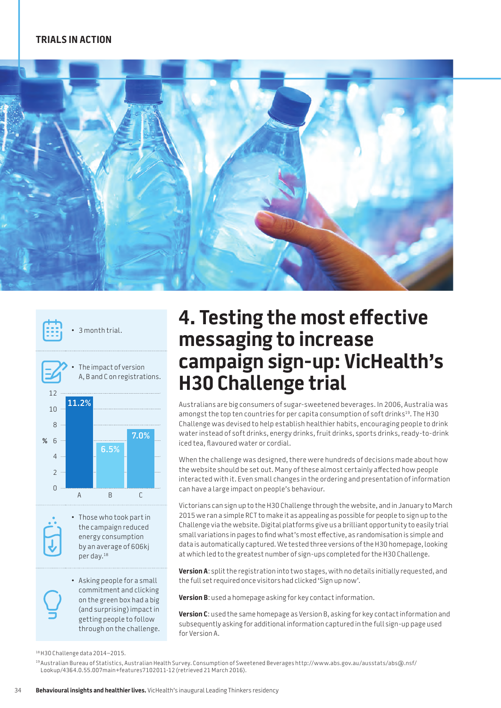## **TRIALS IN ACTION**





3 month trial.



• Those who took part in the campaign reduced energy consumption by an average of 606kj per day.18

• Asking people for a small commitment and clicking on the green box had a big (and surprising) impact in getting people to follow through on the challenge.

## **4. Testing the most effective messaging to increase campaign sign-up: VicHealth's H30 Challenge trial**

Australians are big consumers of sugar-sweetened beverages. In 2006, Australia was amongst the top ten countries for per capita consumption of soft drinks<sup>19</sup>. The H30 Challenge was devised to help establish healthier habits, encouraging people to drink water instead of soft drinks, energy drinks, fruit drinks, sports drinks, ready-to-drink iced tea, flavoured water or cordial.

When the challenge was designed, there were hundreds of decisions made about how the website should be set out. Many of these almost certainly affected how people interacted with it. Even small changes in the ordering and presentation of information can have a large impact on people's behaviour.

Victorians can sign up to the H30 Challenge through the website, and in January to March 2015 we ran a simple RCT to make it as appealing as possible for people to sign up to the Challenge via the website. Digital platforms give us a brilliant opportunity to easily trial small variations in pages to find what's most effective, as randomisation is simple and data is automatically captured. We tested three versions of the H30 homepage, looking at which led to the greatest number of sign-ups completed for the H30 Challenge.

**Version A**: split the registration into two stages, with no details initially requested, and the full set required once visitors had clicked 'Sign up now'.

**Version B**: used a homepage asking for key contact information.

**Version C**: used the same homepage as Version B, asking for key contact information and subsequently asking for additional information captured in the full sign-up page used for Version A.

<sup>18</sup>H3O Challenge data 2014–2015.

<sup>19</sup> Australian Bureau of Statistics, Australian Health Survey. Consumption of Sweetened Beverages http://www.abs.gov.au/ausstats/abs@.nsf/ Lookup/4364.0.55.007main+features7102011-12 (retrieved 21 March 2016).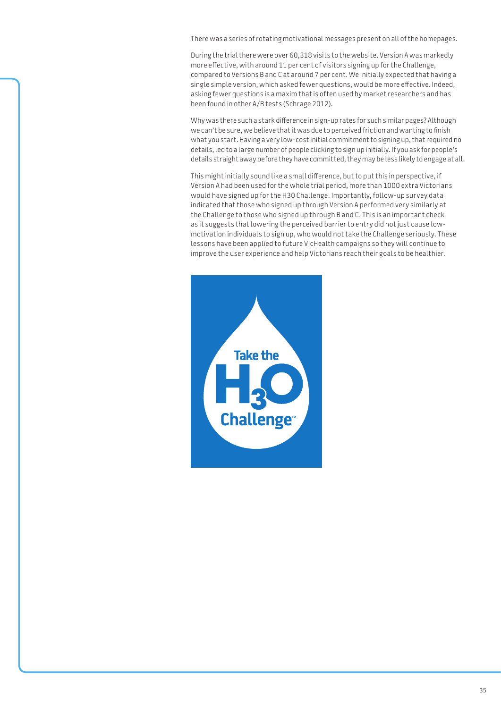There was a series of rotating motivational messages present on all of the homepages.

During the trial there were over 60,318 visits to the website. Version A was markedly more effective, with around 11 per cent of visitors signing up for the Challenge, compared to Versions B and C at around 7 per cent. We initially expected that having a single simple version, which asked fewer questions, would be more effective. Indeed, asking fewer questions is a maxim that is often used by market researchers and has been found in other A/B tests (Schrage 2012).

Why was there such a stark difference in sign-up rates for such similar pages? Although we can't be sure, we believe that it was due to perceived friction and wanting to finish what you start. Having a very low-cost initial commitment to signing up, that required no details, led to a large number of people clicking to sign up initially. If you ask for people's details straight away before they have committed, they may be less likely to engage at all.

This might initially sound like a small difference, but to put this in perspective, if Version A had been used for the whole trial period, more than 1000 extra Victorians would have signed up for the H30 Challenge. Importantly, follow-up survey data indicated that those who signed up through Version A performed very similarly at the Challenge to those who signed up through B and C. This is an important check as it suggests that lowering the perceived barrier to entry did not just cause lowmotivation individuals to sign up, who would not take the Challenge seriously. These lessons have been applied to future VicHealth campaigns so they will continue to improve the user experience and help Victorians reach their goals to be healthier.